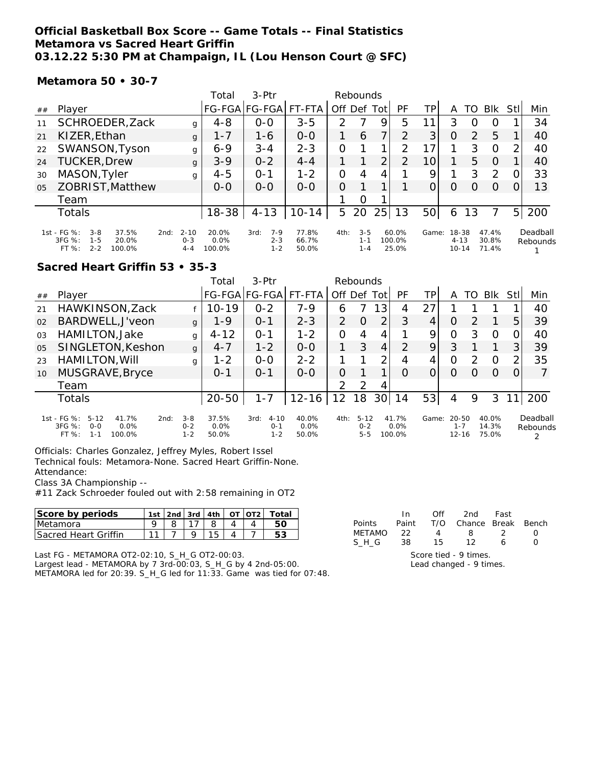#### **Official Basketball Box Score -- Game Totals -- Final Statistics Metamora vs Sacred Heart Griffin 03.12.22 5:30 PM at Champaign, IL (Lou Henson Court @ SFC)**

**Metamora 50 • 30-7**

|                |                                                                                                                                         | Total                   | $3-Ptr$                               |                         | Rebounds                              |      |                             |                 |                            |                  |                         |                |                      |
|----------------|-----------------------------------------------------------------------------------------------------------------------------------------|-------------------------|---------------------------------------|-------------------------|---------------------------------------|------|-----------------------------|-----------------|----------------------------|------------------|-------------------------|----------------|----------------------|
| ##             | Player                                                                                                                                  |                         | FG-FGA FG-FGA                         | FT-FTA                  | Off Def                               | Totl | PF                          | TP              | Α                          | TO               | <b>BIK</b>              | Stll           | Min                  |
| 11             | SCHROEDER, Zack                                                                                                                         | $4 - 8$<br>g            | $0 - 0$                               | $3 - 5$                 | $\mathcal{P}$                         | 9    | 5                           |                 | 3                          | $\left( \right)$ | O                       |                | 34                   |
| 21             | KIZER, Ethan                                                                                                                            | $1 - 7$<br>g            | $1 - 6$                               | $0 - 0$                 | 1<br>6                                |      | $\mathcal{P}$               | 3               | O                          | 2                | 5                       |                | 40                   |
| 22             | SWANSON, Tyson                                                                                                                          | $6 - 9$<br>g            | $3 - 4$                               | $2 - 3$                 | 0                                     |      | $\mathcal{P}$               | 17 <sub>1</sub> |                            | 3                | $\circ$                 | 2              | 40                   |
| 24             | <b>TUCKER, Drew</b>                                                                                                                     | $3 - 9$<br>g            | $0 - 2$                               | $4 - 4$                 |                                       | 2    | 2                           | 10 <sup>1</sup> |                            | 5                | $\Omega$                |                | 40                   |
| 30             | MASON, Tyler                                                                                                                            | $4 - 5$<br>g            | $0 - 1$                               | $1 - 2$                 | 0<br>4                                | 4    |                             | 9               |                            | 3                | 2                       | 0              | 33                   |
| 0 <sub>5</sub> | ZOBRIST, Matthew                                                                                                                        | $0 - 0$                 | $0 - 0$                               | $0 - 0$                 | O                                     |      |                             | 0               | O                          | O                | $\Omega$                |                | 13                   |
|                | Team                                                                                                                                    |                         |                                       |                         | O                                     |      |                             |                 |                            |                  |                         |                |                      |
|                | Totals                                                                                                                                  | $18 - 38$               | $4 - 13$                              | $10 - 14$               | 5<br>20                               | 25   | 13                          | 50              | 6                          | 13               | 7                       | 5 <sup>1</sup> | 200                  |
|                | 1st - FG %:<br>$3 - 8$<br>37.5%<br>$2 - 10$<br>2nd:<br>3FG %:<br>$0 - 3$<br>$1 - 5$<br>20.0%<br>$FT%$ :<br>$2 - 2$<br>100.0%<br>$4 - 4$ | 20.0%<br>0.0%<br>100.0% | $7 - 9$<br>3rd:<br>$2 - 3$<br>$1 - 2$ | 77.8%<br>66.7%<br>50.0% | $3 - 5$<br>4th:<br>$1 - 1$<br>$1 - 4$ |      | $60.0\%$<br>100.0%<br>25.0% | Game:           | 18-38<br>$4 - 13$<br>10-14 |                  | 47.4%<br>30.8%<br>71.4% |                | Deadball<br>Rebounds |

#### **Sacred Heart Griffin 53 • 35-3**

|                |                                                                                                       |                               | Total                  | $3-Ptr$                                |                        | Rebounds      |                                |                 |                         |       |                                   |               |                         |                |                      |
|----------------|-------------------------------------------------------------------------------------------------------|-------------------------------|------------------------|----------------------------------------|------------------------|---------------|--------------------------------|-----------------|-------------------------|-------|-----------------------------------|---------------|-------------------------|----------------|----------------------|
| ##             | Player                                                                                                |                               |                        | FG-FGA FG-FGA                          | FT-FTA                 | Off Def Tot   |                                |                 | PF                      | TΡ    | A                                 | TO            | <b>Blk</b>              | StII           | Min                  |
| 21             | HAWKINSON, Zack                                                                                       |                               | $10 - 19$              | $0 - 2$                                | $7 - 9$                | 6             |                                | 13              | 4                       | 27    |                                   |               |                         |                | 40                   |
| 02             | BARDWELL, J'veon                                                                                      | $\mathbf{q}$                  | $1 - 9$                | $O - 1$                                | $2 - 3$                | 2             | O                              | $\overline{2}$  | 3                       | 4     | O                                 | つ             |                         | 5.             | 39                   |
| O <sub>3</sub> | HAMILTON, Jake                                                                                        | g                             | $4 - 12$               | $0 - 1$                                | $1 - 2$                | $\mathcal{O}$ | 4                              | 4               |                         | 9     | O                                 | 3             | O                       | 0              | 40                   |
| 0 <sub>5</sub> | SINGLETON, Keshon                                                                                     | $\mathbf{q}$                  | $4 - 7$                | $1 - 2$                                | $0 - 0$                | 1             | 3                              | $\overline{4}$  | $\mathcal{P}$           | 9     | 3                                 |               |                         | 31             | 39                   |
| 23             | HAMILTON, Will                                                                                        | g                             | $1 - 2$                | $0 - 0$                                | $2 - 2$                |               |                                | $\overline{2}$  | 4                       | 4     | O                                 | $\mathcal{D}$ | $\Omega$                | $\overline{2}$ | 35                   |
| 10             | MUSGRAVE, Bryce                                                                                       |                               | $O - 1$                | $0 - 1$                                | $0 - 0$                | $\Omega$      |                                | 1               | O                       |       | O                                 | $\left($      | $\Omega$                | 0              |                      |
|                | Team                                                                                                  |                               |                        |                                        |                        | $\mathcal{P}$ | 2                              | 4               |                         |       |                                   |               |                         |                |                      |
|                | Totals                                                                                                |                               | $20 - 50$              | $1 - 7$                                | $12 - 16$              | 12            | 18                             | 30 <sup>1</sup> | 14                      | 53    | 4                                 | 9             | 3                       |                | 200                  |
|                | 1st - FG %:<br>$5 - 12$<br>41.7%<br>2nd:<br>$3FG \%$<br>0.0%<br>$O-O$<br>$FT$ %:<br>$1 - 1$<br>100.0% | $3 - 8$<br>$0 - 2$<br>$1 - 2$ | 37.5%<br>0.0%<br>50.0% | $4 - 10$<br>3rd:<br>$0 - 1$<br>$1 - 2$ | 40.0%<br>0.0%<br>50.0% | 4th:          | $5 - 12$<br>$0 - 2$<br>$5 - 5$ |                 | 41.7%<br>0.0%<br>100.0% | Game: | $20 - 50$<br>$1 - 7$<br>$12 - 16$ |               | 40.0%<br>14.3%<br>75.0% |                | Deadball<br>Rebounds |

Officials: Charles Gonzalez, Jeffrey Myles, Robert Issel Technical fouls: Metamora-None. Sacred Heart Griffin-None. Attendance:

Class 3A Championship --

#11 Zack Schroeder fouled out with 2:58 remaining in OT2

| Score by periods             | 1st | 2nd 3rd | 14th | $\cap$ T | $\overline{012}$ | Total |
|------------------------------|-----|---------|------|----------|------------------|-------|
| Metamora                     |     |         |      |          |                  |       |
| <b>ISacred Heart Griffin</b> |     |         |      |          |                  |       |

Last FG - METAMORA OT2-02:10, S\_H\_G OT2-00:03.

Largest lead - METAMORA by 7 3rd-00:03, S\_H\_G by 4 2nd-05:00. METAMORA led for 20:39. S\_H\_G led for 11:33. Game was tied for 07:48.

|                       | In.  | Off            | 2nd                          | Fast |  |  |  |  |  |
|-----------------------|------|----------------|------------------------------|------|--|--|--|--|--|
| Points                |      |                | Paint T/O Chance Break Bench |      |  |  |  |  |  |
| <b>METAMO</b>         | - 22 | $\overline{4}$ | 8.                           | - 2  |  |  |  |  |  |
| SHG.                  | - 38 | 15             | 12                           | 6    |  |  |  |  |  |
| Score tied - 9 times. |      |                |                              |      |  |  |  |  |  |

Lead changed - 9 times.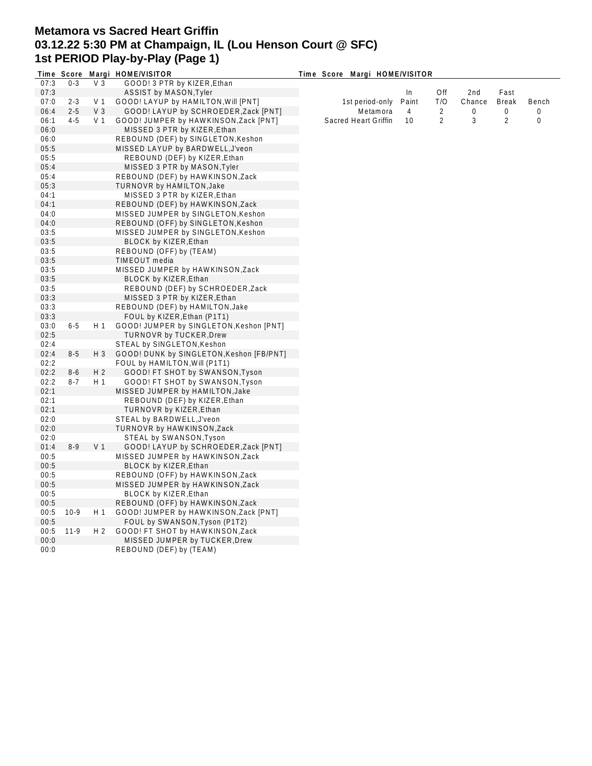# **Metamora vs Sacred Heart Griffin 03.12.22 5:30 PM at Champaign, IL (Lou Henson Court @ SFC) 1st PERIOD Play-by-Play (Page 1)**

|      |         |                | Time Score Margi HOME/VISITOR            | Time Score Margi HOME/VISITOR |       |                |                 |                |       |
|------|---------|----------------|------------------------------------------|-------------------------------|-------|----------------|-----------------|----------------|-------|
| 07:3 | $0 - 3$ | V <sub>3</sub> | GOOD! 3 PTR by KIZER, Ethan              |                               |       |                |                 |                |       |
| 07:3 |         |                | ASSIST by MASON, Tyler                   |                               | In    | Off            | 2 <sub>nd</sub> | Fast           |       |
| 07:0 | $2 - 3$ | V 1            | GOOD! LAYUP by HAMILTON, Will [PNT]      | 1st period-only               | Paint | T/O            | Chance          | Break          | Bench |
| 06:4 | $2 - 5$ | V <sub>3</sub> | GOOD! LAYUP by SCHROEDER, Zack [PNT]     | Metamora                      | 4     | 2              | 0               | 0              | 0     |
| 06:1 | $4 - 5$ | V <sub>1</sub> | GOOD! JUMPER by HAWKINSON, Zack [PNT]    | Sacred Heart Griffin          | 10    | $\overline{2}$ | 3               | $\overline{2}$ | 0     |
| 06:0 |         |                | MISSED 3 PTR by KIZER, Ethan             |                               |       |                |                 |                |       |
| 06:0 |         |                | REBOUND (DEF) by SINGLETON, Keshon       |                               |       |                |                 |                |       |
| 05:5 |         |                | MISSED LAYUP by BARDWELL, J'veon         |                               |       |                |                 |                |       |
| 05:5 |         |                | REBOUND (DEF) by KIZER, Ethan            |                               |       |                |                 |                |       |
| 05:4 |         |                | MISSED 3 PTR by MASON, Tyler             |                               |       |                |                 |                |       |
| 05:4 |         |                | REBOUND (DEF) by HAWKINSON, Zack         |                               |       |                |                 |                |       |
| 05:3 |         |                | <b>TURNOVR by HAMILTON, Jake</b>         |                               |       |                |                 |                |       |
| 04:1 |         |                | MISSED 3 PTR by KIZER, Ethan             |                               |       |                |                 |                |       |
| 04:1 |         |                | REBOUND (DEF) by HAWKINSON, Zack         |                               |       |                |                 |                |       |
| 04:0 |         |                | MISSED JUMPER by SINGLETON, Keshon       |                               |       |                |                 |                |       |
| 04:0 |         |                | REBOUND (OFF) by SINGLETON, Keshon       |                               |       |                |                 |                |       |
| 03:5 |         |                | MISSED JUMPER by SINGLETON, Keshon       |                               |       |                |                 |                |       |
|      |         |                |                                          |                               |       |                |                 |                |       |
| 03:5 |         |                | BLOCK by KIZER, Ethan                    |                               |       |                |                 |                |       |
| 03:5 |         |                | REBOUND (OFF) by (TEAM)                  |                               |       |                |                 |                |       |
| 03:5 |         |                | TIMEOUT media                            |                               |       |                |                 |                |       |
| 03:5 |         |                | MISSED JUMPER by HAWKINSON, Zack         |                               |       |                |                 |                |       |
| 03:5 |         |                | <b>BLOCK by KIZER, Ethan</b>             |                               |       |                |                 |                |       |
| 03:5 |         |                | REBOUND (DEF) by SCHROEDER, Zack         |                               |       |                |                 |                |       |
| 03:3 |         |                | MISSED 3 PTR by KIZER, Ethan             |                               |       |                |                 |                |       |
| 03:3 |         |                | REBOUND (DEF) by HAMILTON, Jake          |                               |       |                |                 |                |       |
| 03:3 |         |                | FOUL by KIZER, Ethan (P1T1)              |                               |       |                |                 |                |       |
| 03:0 | $6 - 5$ | H 1            | GOOD! JUMPER by SINGLETON, Keshon [PNT]  |                               |       |                |                 |                |       |
| 02:5 |         |                | <b>TURNOVR by TUCKER, Drew</b>           |                               |       |                |                 |                |       |
| 02:4 |         |                | STEAL by SINGLETON, Keshon               |                               |       |                |                 |                |       |
| 02:4 | $8-5$   | $H_3$          | GOOD! DUNK by SINGLETON, Keshon [FB/PNT] |                               |       |                |                 |                |       |
| 02:2 |         |                | FOUL by HAMILTON, Will (P1T1)            |                               |       |                |                 |                |       |
| 02:2 | $8-6$   | H <sub>2</sub> | GOOD! FT SHOT by SWANSON, Tyson          |                               |       |                |                 |                |       |
| 02:2 | $8 - 7$ | H <sub>1</sub> | GOOD! FT SHOT by SWANSON, Tyson          |                               |       |                |                 |                |       |
| 02:1 |         |                | MISSED JUMPER by HAMILTON, Jake          |                               |       |                |                 |                |       |
| 02:1 |         |                | REBOUND (DEF) by KIZER, Ethan            |                               |       |                |                 |                |       |
| 02:1 |         |                | TURNOVR by KIZER, Ethan                  |                               |       |                |                 |                |       |
| 02:0 |         |                | STEAL by BARDWELL, J'veon                |                               |       |                |                 |                |       |
| 02:0 |         |                | TURNOVR by HAWKINSON, Zack               |                               |       |                |                 |                |       |
| 02:0 |         |                | STEAL by SWANSON, Tyson                  |                               |       |                |                 |                |       |
| 01:4 | $8-9$   | V <sub>1</sub> | GOOD! LAYUP by SCHROEDER, Zack [PNT]     |                               |       |                |                 |                |       |
| 00:5 |         |                | MISSED JUMPER by HAWKINSON, Zack         |                               |       |                |                 |                |       |
| 00:5 |         |                | BLOCK by KIZER, Ethan                    |                               |       |                |                 |                |       |
| 00:5 |         |                | REBOUND (OFF) by HAWKINSON, Zack         |                               |       |                |                 |                |       |
| 00:5 |         |                | MISSED JUMPER by HAWKINSON, Zack         |                               |       |                |                 |                |       |
| 00:5 |         |                | BLOCK by KIZER, Ethan                    |                               |       |                |                 |                |       |
| 00:5 |         |                | REBOUND (OFF) by HAWKINSON, Zack         |                               |       |                |                 |                |       |
| 00:5 | $10-9$  | H 1            | GOOD! JUMPER by HAWKINSON, Zack [PNT]    |                               |       |                |                 |                |       |
| 00:5 |         |                | FOUL by SWANSON, Tyson (P1T2)            |                               |       |                |                 |                |       |
| 00:5 | $11-9$  | H <sub>2</sub> | GOOD! FT SHOT by HAWKINSON, Zack         |                               |       |                |                 |                |       |
|      |         |                |                                          |                               |       |                |                 |                |       |
| 00:0 |         |                | MISSED JUMPER by TUCKER, Drew            |                               |       |                |                 |                |       |
| 00:0 |         |                | REBOUND (DEF) by (TEAM)                  |                               |       |                |                 |                |       |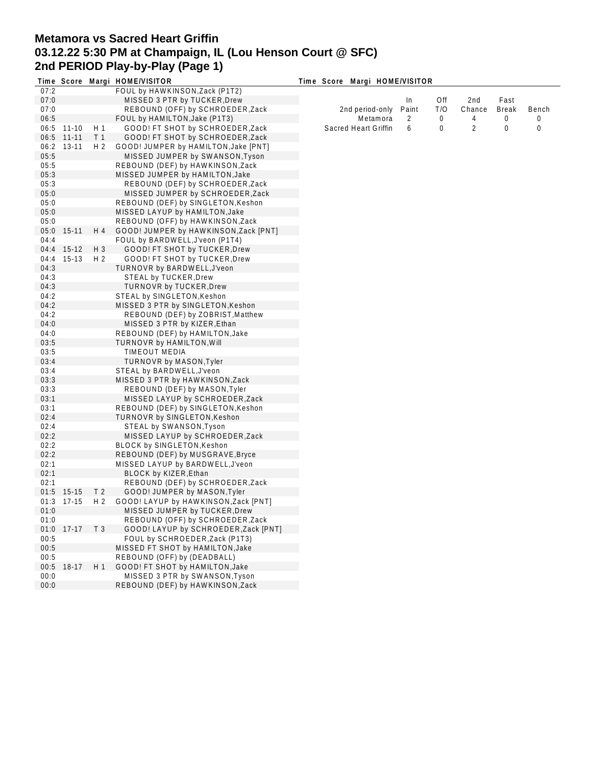# **Metamora vs Sacred Heart Griffin 03.12.22 5:30 PM at Champaign, IL (Lou Henson Court @ SFC) 2nd PERIOD Play-by-Play (Page 1)**

|      |            |                | Time Score Margi HOME/VISITOR         | Time Score Margi HOME/VISITOR |       |     |        |              |       |
|------|------------|----------------|---------------------------------------|-------------------------------|-------|-----|--------|--------------|-------|
| 07:2 |            |                | FOUL by HAWKINSON, Zack (P1T2)        |                               |       |     |        |              |       |
| 07:0 |            |                | MISSED 3 PTR by TUCKER, Drew          |                               | In    | Off | 2nd    | Fast         |       |
| 07:0 |            |                | REBOUND (OFF) by SCHROEDER, Zack      | 2nd period-only               | Paint | T/O | Chance | <b>Break</b> | Bench |
| 06:5 |            |                | FOUL by HAMILTON, Jake (P1T3)         | Metamora                      | 2     | 0   | 4      | 0            | 0     |
| 06:5 | 11-10      | H 1            | GOOD! FT SHOT by SCHROEDER, Zack      | Sacred Heart Griffin          | 6     | 0   | 2      | 0            | 0     |
|      | 06:5 11-11 | T <sub>1</sub> | GOOD! FT SHOT by SCHROEDER, Zack      |                               |       |     |        |              |       |
|      | 06:2 13-11 | H 2            | GOOD! JUMPER by HAMILTON, Jake [PNT]  |                               |       |     |        |              |       |
| 05:5 |            |                | MISSED JUMPER by SWANSON, Tyson       |                               |       |     |        |              |       |
|      |            |                |                                       |                               |       |     |        |              |       |
| 05:5 |            |                | REBOUND (DEF) by HAWKINSON, Zack      |                               |       |     |        |              |       |
| 05:3 |            |                | MISSED JUMPER by HAMILTON, Jake       |                               |       |     |        |              |       |
| 05:3 |            |                | REBOUND (DEF) by SCHROEDER, Zack      |                               |       |     |        |              |       |
| 05:0 |            |                | MISSED JUMPER by SCHROEDER, Zack      |                               |       |     |        |              |       |
| 05:0 |            |                | REBOUND (DEF) by SINGLETON, Keshon    |                               |       |     |        |              |       |
| 05:0 |            |                | MISSED LAYUP by HAMILTON, Jake        |                               |       |     |        |              |       |
| 05:0 |            |                | REBOUND (OFF) by HAWKINSON, Zack      |                               |       |     |        |              |       |
| 05:0 | 15-11      | H 4            | GOOD! JUMPER by HAWKINSON, Zack [PNT] |                               |       |     |        |              |       |
| 04:4 |            |                | FOUL by BARDWELL, J'veon (P1T4)       |                               |       |     |        |              |       |
|      | 04:4 15-12 | H 3            | GOOD! FT SHOT by TUCKER, Drew         |                               |       |     |        |              |       |
| 04:4 | $15-13$    | H <sub>2</sub> | GOOD! FT SHOT by TUCKER, Drew         |                               |       |     |        |              |       |
| 04:3 |            |                | TURNOVR by BARDWELL, J'veon           |                               |       |     |        |              |       |
| 04:3 |            |                | STEAL by TUCKER, Drew                 |                               |       |     |        |              |       |
| 04:3 |            |                | <b>TURNOVR by TUCKER, Drew</b>        |                               |       |     |        |              |       |
| 04:2 |            |                | STEAL by SINGLETON, Keshon            |                               |       |     |        |              |       |
| 04:2 |            |                | MISSED 3 PTR by SINGLETON, Keshon     |                               |       |     |        |              |       |
|      |            |                |                                       |                               |       |     |        |              |       |
| 04:2 |            |                | REBOUND (DEF) by ZOBRIST, Matthew     |                               |       |     |        |              |       |
| 04:0 |            |                | MISSED 3 PTR by KIZER, Ethan          |                               |       |     |        |              |       |
| 04:0 |            |                | REBOUND (DEF) by HAMILTON, Jake       |                               |       |     |        |              |       |
| 03:5 |            |                | TURNOVR by HAMILTON, Will             |                               |       |     |        |              |       |
| 03:5 |            |                | TIMEOUT MEDIA                         |                               |       |     |        |              |       |
| 03:4 |            |                | TURNOVR by MASON, Tyler               |                               |       |     |        |              |       |
| 03:4 |            |                | STEAL by BARDWELL, J'veon             |                               |       |     |        |              |       |
| 03:3 |            |                | MISSED 3 PTR by HAWKINSON, Zack       |                               |       |     |        |              |       |
| 03:3 |            |                | REBOUND (DEF) by MASON, Tyler         |                               |       |     |        |              |       |
| 03:1 |            |                | MISSED LAYUP by SCHROEDER, Zack       |                               |       |     |        |              |       |
| 03:1 |            |                | REBOUND (DEF) by SINGLETON, Keshon    |                               |       |     |        |              |       |
| 02:4 |            |                | TURNOVR by SINGLETON, Keshon          |                               |       |     |        |              |       |
| 02:4 |            |                | STEAL by SWANSON, Tyson               |                               |       |     |        |              |       |
| 02:2 |            |                | MISSED LAYUP by SCHROEDER, Zack       |                               |       |     |        |              |       |
| 02:2 |            |                | <b>BLOCK by SINGLETON, Keshon</b>     |                               |       |     |        |              |       |
| 02:2 |            |                | REBOUND (DEF) by MUSGRAVE, Bryce      |                               |       |     |        |              |       |
| 02:1 |            |                | MISSED LAYUP by BARDWELL, J'veon      |                               |       |     |        |              |       |
| 02:1 |            |                | BLOCK by KIZER, Ethan                 |                               |       |     |        |              |       |
|      |            |                |                                       |                               |       |     |        |              |       |
| 02:1 |            |                | REBOUND (DEF) by SCHROEDER, Zack      |                               |       |     |        |              |       |
|      | 01:5 15-15 | T <sub>2</sub> | GOOD! JUMPER by MASON, Tyler          |                               |       |     |        |              |       |
| 01:3 | 17-15      | H 2            | GOOD! LAYUP by HAWKINSON, Zack [PNT]  |                               |       |     |        |              |       |
| 01:0 |            |                | MISSED JUMPER by TUCKER, Drew         |                               |       |     |        |              |       |
| 01:0 |            |                | REBOUND (OFF) by SCHROEDER, Zack      |                               |       |     |        |              |       |
| 01:0 | $17-17$    | T <sub>3</sub> | GOOD! LAYUP by SCHROEDER, Zack [PNT]  |                               |       |     |        |              |       |
| 00:5 |            |                | FOUL by SCHROEDER, Zack (P1T3)        |                               |       |     |        |              |       |
| 00:5 |            |                | MISSED FT SHOT by HAMILTON, Jake      |                               |       |     |        |              |       |
| 00:5 |            |                | REBOUND (OFF) by (DEADBALL)           |                               |       |     |        |              |       |
| 00:5 | 18-17      | H 1            | GOOD! FT SHOT by HAMILTON, Jake       |                               |       |     |        |              |       |
| 00:0 |            |                | MISSED 3 PTR by SWANSON, Tyson        |                               |       |     |        |              |       |
| 00:0 |            |                | REBOUND (DEF) by HAWKINSON, Zack      |                               |       |     |        |              |       |
|      |            |                |                                       |                               |       |     |        |              |       |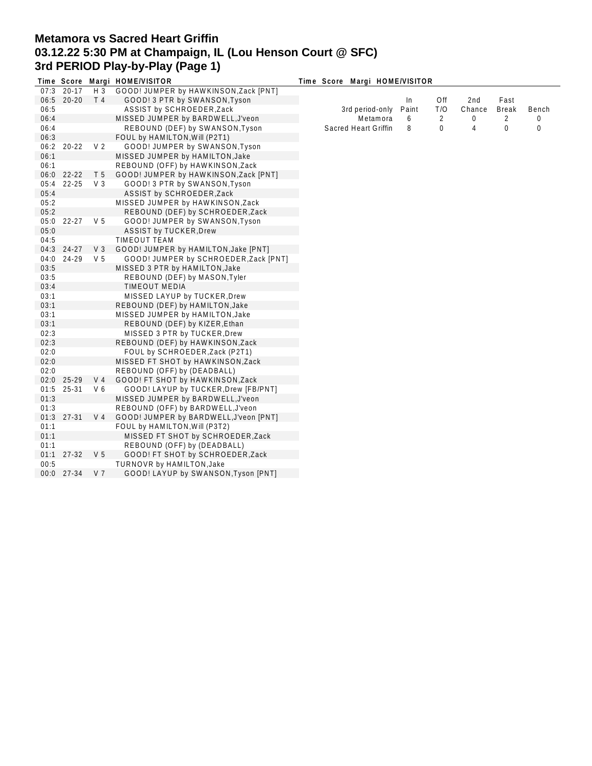# **Metamora vs Sacred Heart Griffin 03.12.22 5:30 PM at Champaign, IL (Lou Henson Court @ SFC) 3rd PERIOD Play-by-Play (Page 1)**

|      |            |                | Time Score Margi HOME/VISITOR          | Time Score Margi HOME/VISITOR |       |             |        |              |       |  |
|------|------------|----------------|----------------------------------------|-------------------------------|-------|-------------|--------|--------------|-------|--|
|      | 07:3 20-17 | $H_3$          | GOOD! JUMPER by HAWKINSON, Zack [PNT]  |                               |       |             |        |              |       |  |
|      | 06:5 20-20 | T <sub>4</sub> | GOOD! 3 PTR by SWANSON, Tyson          |                               | In.   | Off         | 2nd    | Fast         |       |  |
| 06:5 |            |                | ASSIST by SCHROEDER, Zack              | 3rd period-only               | Paint | T/O         | Chance | <b>Break</b> | Bench |  |
| 06:4 |            |                | MISSED JUMPER by BARDWELL, J'veon      | Metamora                      | 6     | 2           | 0      | 2            | 0     |  |
| 06:4 |            |                | REBOUND (DEF) by SWANSON, Tyson        | Sacred Heart Griffin          | 8     | $\mathbf 0$ | 4      | 0            | 0     |  |
| 06:3 |            |                | FOUL by HAMILTON, Will (P2T1)          |                               |       |             |        |              |       |  |
| 06:2 | $20 - 22$  | V <sub>2</sub> | GOOD! JUMPER by SWANSON, Tyson         |                               |       |             |        |              |       |  |
| 06:1 |            |                | MISSED JUMPER by HAMILTON, Jake        |                               |       |             |        |              |       |  |
| 06:1 |            |                | REBOUND (OFF) by HAWKINSON, Zack       |                               |       |             |        |              |       |  |
|      | 06:0 22-22 | T <sub>5</sub> | GOOD! JUMPER by HAWKINSON, Zack [PNT]  |                               |       |             |        |              |       |  |
| 05:4 | 22-25      | $V_3$          | GOOD! 3 PTR by SWANSON, Tyson          |                               |       |             |        |              |       |  |
| 05:4 |            |                | ASSIST by SCHROEDER, Zack              |                               |       |             |        |              |       |  |
| 05:2 |            |                | MISSED JUMPER by HAWKINSON, Zack       |                               |       |             |        |              |       |  |
| 05:2 |            |                | REBOUND (DEF) by SCHROEDER, Zack       |                               |       |             |        |              |       |  |
| 05:0 | 22-27      | V 5            | GOOD! JUMPER by SWANSON, Tyson         |                               |       |             |        |              |       |  |
| 05:0 |            |                | <b>ASSIST by TUCKER, Drew</b>          |                               |       |             |        |              |       |  |
| 04:5 |            |                | <b>TIMEOUT TEAM</b>                    |                               |       |             |        |              |       |  |
|      | 04:3 24-27 | V <sub>3</sub> | GOOD! JUMPER by HAMILTON, Jake [PNT]   |                               |       |             |        |              |       |  |
| 04:0 | 24-29      | V <sub>5</sub> | GOOD! JUMPER by SCHROEDER, Zack [PNT]  |                               |       |             |        |              |       |  |
| 03:5 |            |                | MISSED 3 PTR by HAMILTON, Jake         |                               |       |             |        |              |       |  |
| 03:5 |            |                | REBOUND (DEF) by MASON, Tyler          |                               |       |             |        |              |       |  |
| 03:4 |            |                | <b>TIMEOUT MEDIA</b>                   |                               |       |             |        |              |       |  |
| 03:1 |            |                | MISSED LAYUP by TUCKER, Drew           |                               |       |             |        |              |       |  |
| 03:1 |            |                | REBOUND (DEF) by HAMILTON, Jake        |                               |       |             |        |              |       |  |
| 03:1 |            |                | MISSED JUMPER by HAMILTON, Jake        |                               |       |             |        |              |       |  |
| 03:1 |            |                | REBOUND (DEF) by KIZER, Ethan          |                               |       |             |        |              |       |  |
| 02:3 |            |                | MISSED 3 PTR by TUCKER, Drew           |                               |       |             |        |              |       |  |
| 02:3 |            |                | REBOUND (DEF) by HAWKINSON, Zack       |                               |       |             |        |              |       |  |
| 02:0 |            |                | FOUL by SCHROEDER, Zack (P2T1)         |                               |       |             |        |              |       |  |
| 02:0 |            |                | MISSED FT SHOT by HAWKINSON, Zack      |                               |       |             |        |              |       |  |
| 02:0 |            |                | REBOUND (OFF) by (DEADBALL)            |                               |       |             |        |              |       |  |
| 02:0 | 25-29      | V <sub>4</sub> | GOOD! FT SHOT by HAWKINSON, Zack       |                               |       |             |        |              |       |  |
| 01:5 | 25-31      | V6             | GOOD! LAYUP by TUCKER, Drew [FB/PNT]   |                               |       |             |        |              |       |  |
| 01:3 |            |                | MISSED JUMPER by BARDWELL, J'veon      |                               |       |             |        |              |       |  |
| 01:3 |            |                | REBOUND (OFF) by BARDWELL, J'veon      |                               |       |             |        |              |       |  |
|      | 01:3 27-31 | V <sub>4</sub> | GOOD! JUMPER by BARDWELL, J'veon [PNT] |                               |       |             |        |              |       |  |
| 01:1 |            |                | FOUL by HAMILTON, Will (P3T2)          |                               |       |             |        |              |       |  |
| 01:1 |            |                | MISSED FT SHOT by SCHROEDER, Zack      |                               |       |             |        |              |       |  |
| 01:1 |            |                | REBOUND (OFF) by (DEADBALL)            |                               |       |             |        |              |       |  |
| 01:1 | 27-32      | V <sub>5</sub> | GOOD! FT SHOT by SCHROEDER, Zack       |                               |       |             |        |              |       |  |
| 00:5 |            |                | TURNOVR by HAMILTON, Jake              |                               |       |             |        |              |       |  |
|      | 00:0 27-34 | V <sub>7</sub> | GOOD! LAYUP by SWANSON, Tyson [PNT]    |                               |       |             |        |              |       |  |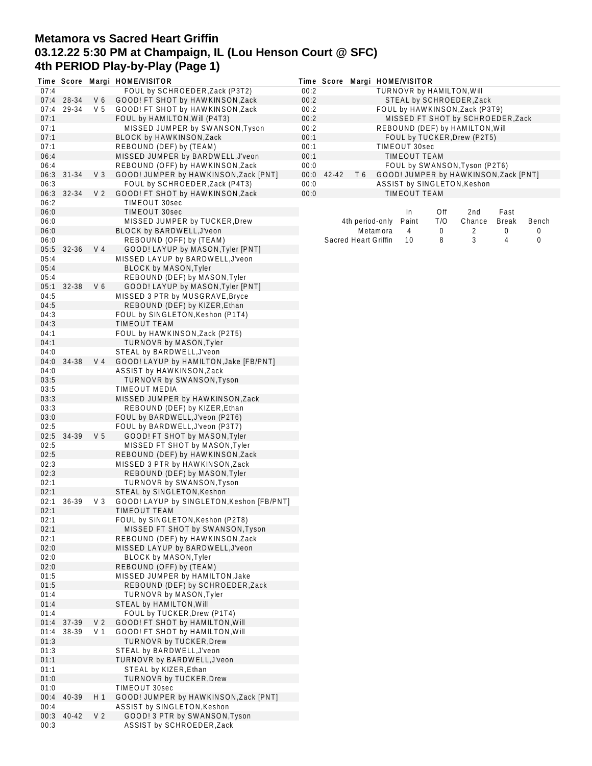## **Metamora vs Sacred Heart Griffin 03.12.22 5:30 PM at Champaign, IL (Lou Henson Court @ SFC) 4th PERIOD Play-by-Play (Page 1)**

|              |            |                | Time Score Margi HOME/VISITOR                                       |              |            |                      |          | Time Score Margi HOME/VISITOR |     |                                                                |              |       |
|--------------|------------|----------------|---------------------------------------------------------------------|--------------|------------|----------------------|----------|-------------------------------|-----|----------------------------------------------------------------|--------------|-------|
| 07:4         |            |                | FOUL by SCHROEDER, Zack (P3T2)                                      | 00:2         |            |                      |          | TURNOVR by HAMILTON, Will     |     |                                                                |              |       |
|              | 07:4 28-34 | V6             | GOOD! FT SHOT by HAWKINSON, Zack                                    | 00:2         |            |                      |          |                               |     | STEAL by SCHROEDER, Zack                                       |              |       |
| 07:4         | 29-34      | V <sub>5</sub> | GOOD! FT SHOT by HAWKINSON, Zack                                    | 00:2         |            |                      |          |                               |     | FOUL by HAWKINSON, Zack (P3T9)                                 |              |       |
| 07:1         |            |                | FOUL by HAMILTON, Will (P4T3)                                       | 00:2         |            |                      |          |                               |     | MISSED FT SHOT by SCHROEDER, Zack                              |              |       |
| 07:1<br>07:1 |            |                | MISSED JUMPER by SWANSON, Tyson<br>BLOCK by HAWKINSON, Zack         | 00:2<br>00:1 |            |                      |          |                               |     | REBOUND (DEF) by HAMILTON, Will<br>FOUL by TUCKER, Drew (P2T5) |              |       |
| 07:1         |            |                | REBOUND (DEF) by (TEAM)                                             | 00:1         |            |                      |          | TIMEOUT 30sec                 |     |                                                                |              |       |
| 06:4         |            |                | MISSED JUMPER by BARDWELL, J'veon                                   | 00:1         |            |                      |          | <b>TIMEOUT TEAM</b>           |     |                                                                |              |       |
| 06:4         |            |                | REBOUND (OFF) by HAWKINSON, Zack                                    | 00:0         |            |                      |          |                               |     | FOUL by SWANSON, Tyson (P2T6)                                  |              |       |
| 06:3         | 31-34      | V3             | GOOD! JUMPER by HAWKINSON, Zack [PNT]                               |              | 00:0 42-42 | T6                   |          |                               |     | GOOD! JUMPER by HAWKINSON, Zack [PNT]                          |              |       |
| 06:3         |            |                | FOUL by SCHROEDER, Zack (P4T3)                                      | 00:0         |            |                      |          |                               |     | ASSIST by SINGLETON, Keshon                                    |              |       |
| 06:3         | 32-34      | V <sub>2</sub> | GOOD! FT SHOT by HAWKINSON, Zack                                    | 00:0         |            |                      |          | <b>TIMEOUT TEAM</b>           |     |                                                                |              |       |
| 06:2         |            |                | TIMEOUT 30sec                                                       |              |            |                      |          |                               |     |                                                                |              |       |
| 06:0         |            |                | TIMEOUT 30sec                                                       |              |            |                      |          | In                            | Off | 2nd                                                            | Fast         |       |
| 06:0         |            |                | MISSED JUMPER by TUCKER, Drew                                       |              |            | 4th period-only      |          | Paint                         | T/O | Chance                                                         | <b>Break</b> | Bench |
| 06:0         |            |                | BLOCK by BARDWELL, J'veon                                           |              |            |                      | Metamora | 4                             | 0   | 2                                                              | 0            | 0     |
| 06:0         |            |                | REBOUND (OFF) by (TEAM)                                             |              |            | Sacred Heart Griffin |          | 10                            | 8   | 3                                                              | 4            | 0     |
| 05:5         | $32 - 36$  | V <sub>4</sub> | GOOD! LAYUP by MASON, Tyler [PNT]                                   |              |            |                      |          |                               |     |                                                                |              |       |
| 05:4         |            |                | MISSED LAYUP by BARDWELL, J'veon                                    |              |            |                      |          |                               |     |                                                                |              |       |
| 05:4         |            |                | <b>BLOCK by MASON, Tyler</b>                                        |              |            |                      |          |                               |     |                                                                |              |       |
| 05:4         |            |                | REBOUND (DEF) by MASON, Tyler                                       |              |            |                      |          |                               |     |                                                                |              |       |
| 05:1         | 32-38      | V6             | GOOD! LAYUP by MASON, Tyler [PNT]                                   |              |            |                      |          |                               |     |                                                                |              |       |
| 04:5         |            |                | MISSED 3 PTR by MUSGRAVE, Bryce<br>REBOUND (DEF) by KIZER, Ethan    |              |            |                      |          |                               |     |                                                                |              |       |
| 04:5<br>04:3 |            |                | FOUL by SINGLETON, Keshon (P1T4)                                    |              |            |                      |          |                               |     |                                                                |              |       |
| 04:3         |            |                | <b>TIMEOUT TEAM</b>                                                 |              |            |                      |          |                               |     |                                                                |              |       |
| 04:1         |            |                | FOUL by HAWKINSON, Zack (P2T5)                                      |              |            |                      |          |                               |     |                                                                |              |       |
| 04:1         |            |                | TURNOVR by MASON, Tyler                                             |              |            |                      |          |                               |     |                                                                |              |       |
| 04:0         |            |                | STEAL by BARDWELL, J'veon                                           |              |            |                      |          |                               |     |                                                                |              |       |
| 04:0         | 34-38      | V 4            | GOOD! LAYUP by HAMILTON, Jake [FB/PNT]                              |              |            |                      |          |                               |     |                                                                |              |       |
| 04:0         |            |                | ASSIST by HAWKINSON, Zack                                           |              |            |                      |          |                               |     |                                                                |              |       |
| 03:5         |            |                | TURNOVR by SWANSON, Tyson                                           |              |            |                      |          |                               |     |                                                                |              |       |
| 03:5         |            |                | TIMEOUT MEDIA                                                       |              |            |                      |          |                               |     |                                                                |              |       |
| 03:3         |            |                | MISSED JUMPER by HAWKINSON, Zack                                    |              |            |                      |          |                               |     |                                                                |              |       |
| 03:3         |            |                | REBOUND (DEF) by KIZER, Ethan                                       |              |            |                      |          |                               |     |                                                                |              |       |
| 03:0         |            |                | FOUL by BARDWELL, J'veon (P2T6)                                     |              |            |                      |          |                               |     |                                                                |              |       |
| 02:5         |            |                | FOUL by BARDWELL, J'veon (P3T7)                                     |              |            |                      |          |                               |     |                                                                |              |       |
| 02:5         | 34-39      | V <sub>5</sub> | GOOD! FT SHOT by MASON, Tyler                                       |              |            |                      |          |                               |     |                                                                |              |       |
| 02:5         |            |                | MISSED FT SHOT by MASON, Tyler                                      |              |            |                      |          |                               |     |                                                                |              |       |
| 02:5<br>02:3 |            |                | REBOUND (DEF) by HAWKINSON, Zack<br>MISSED 3 PTR by HAWKINSON, Zack |              |            |                      |          |                               |     |                                                                |              |       |
| 02:3         |            |                | REBOUND (DEF) by MASON, Tyler                                       |              |            |                      |          |                               |     |                                                                |              |       |
| 02:1         |            |                | TURNOVR by SWANSON, Tyson                                           |              |            |                      |          |                               |     |                                                                |              |       |
| 02:1         |            |                | STEAL by SINGLETON, Keshon                                          |              |            |                      |          |                               |     |                                                                |              |       |
| 02:1         | 36-39      | $V_3$          | GOOD! LAYUP by SINGLETON, Keshon [FB/PNT]                           |              |            |                      |          |                               |     |                                                                |              |       |
| 02:1         |            |                | TIMEOUT TEAM                                                        |              |            |                      |          |                               |     |                                                                |              |       |
| 02:1         |            |                | FOUL by SINGLETON, Keshon (P2T8)                                    |              |            |                      |          |                               |     |                                                                |              |       |
| 02:1         |            |                | MISSED FT SHOT by SWANSON, Tyson                                    |              |            |                      |          |                               |     |                                                                |              |       |
| 02:1         |            |                | REBOUND (DEF) by HAWKINSON, Zack                                    |              |            |                      |          |                               |     |                                                                |              |       |
| 02:0         |            |                | MISSED LAYUP by BARDWELL, J'veon                                    |              |            |                      |          |                               |     |                                                                |              |       |
| 02:0         |            |                | <b>BLOCK by MASON, Tyler</b>                                        |              |            |                      |          |                               |     |                                                                |              |       |
| 02:0         |            |                | REBOUND (OFF) by (TEAM)                                             |              |            |                      |          |                               |     |                                                                |              |       |
| 01:5         |            |                | MISSED JUMPER by HAMILTON, Jake                                     |              |            |                      |          |                               |     |                                                                |              |       |
| 01:5         |            |                | REBOUND (DEF) by SCHROEDER, Zack                                    |              |            |                      |          |                               |     |                                                                |              |       |
| 01:4<br>01:4 |            |                | TURNOVR by MASON, Tyler<br>STEAL by HAMILTON, Will                  |              |            |                      |          |                               |     |                                                                |              |       |
| 01:4         |            |                | FOUL by TUCKER, Drew (P1T4)                                         |              |            |                      |          |                               |     |                                                                |              |       |
| 01:4         | 37-39      | V <sub>2</sub> | GOOD! FT SHOT by HAMILTON, Will                                     |              |            |                      |          |                               |     |                                                                |              |       |
| 01:4         | 38-39      | V 1            | GOOD! FT SHOT by HAMILTON, Will                                     |              |            |                      |          |                               |     |                                                                |              |       |
| 01:3         |            |                | TURNOVR by TUCKER, Drew                                             |              |            |                      |          |                               |     |                                                                |              |       |
| 01:3         |            |                | STEAL by BARDWELL, J'veon                                           |              |            |                      |          |                               |     |                                                                |              |       |
| 01:1         |            |                | TURNOVR by BARDWELL, J'veon                                         |              |            |                      |          |                               |     |                                                                |              |       |
| 01:1         |            |                | STEAL by KIZER, Ethan                                               |              |            |                      |          |                               |     |                                                                |              |       |
| 01:0         |            |                | TURNOVR by TUCKER, Drew                                             |              |            |                      |          |                               |     |                                                                |              |       |
| 01:0         |            |                | TIMEOUT 30sec                                                       |              |            |                      |          |                               |     |                                                                |              |       |
| 00:4         | 40-39      | H 1            | GOOD! JUMPER by HAWKINSON, Zack [PNT]                               |              |            |                      |          |                               |     |                                                                |              |       |
| 00:4         |            |                | ASSIST by SINGLETON, Keshon                                         |              |            |                      |          |                               |     |                                                                |              |       |
| 00:3         | 40-42      | V <sub>2</sub> | GOOD! 3 PTR by SWANSON, Tyson                                       |              |            |                      |          |                               |     |                                                                |              |       |
| 00:3         |            |                | ASSIST by SCHROEDER, Zack                                           |              |            |                      |          |                               |     |                                                                |              |       |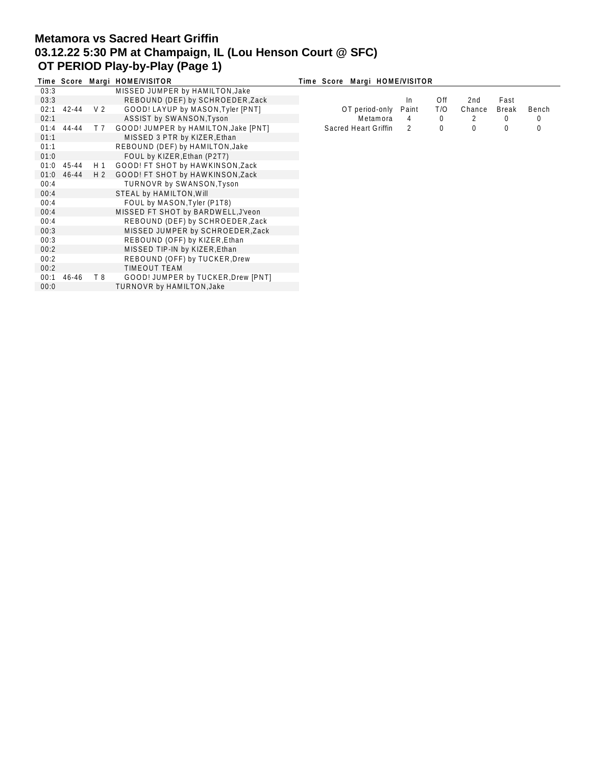# **Metamora vs Sacred Heart Griffin 03.12.22 5:30 PM at Champaign, IL (Lou Henson Court @ SFC) OT PERIOD Play-by-Play (Page 1)**

|      |              |     | Time Score Margi HOME/VISITOR        | Time Score Margi HOME/VISITOR |       |              |        |       |       |
|------|--------------|-----|--------------------------------------|-------------------------------|-------|--------------|--------|-------|-------|
| 03:3 |              |     | MISSED JUMPER by HAMILTON, Jake      |                               |       |              |        |       |       |
| 03:3 |              |     | REBOUND (DEF) by SCHROEDER, Zack     |                               | In.   | Off          | 2nd    | Fast  |       |
|      | $02:1$ 42-44 | V 2 | GOOD! LAYUP by MASON, Tyler [PNT]    | OT period-only                | Paint | T/O          | Chance | Break | Bench |
| 02:1 |              |     | ASSIST by SWANSON, Tyson             | Metamora                      | 4     | $\mathbf{0}$ |        | 0     | 0     |
|      | $01:4$ 44-44 | T 7 | GOOD! JUMPER by HAMILTON, Jake [PNT] | Sacred Heart Griffin          | 2     | 0            | 0      | 0     | 0     |
| 01:1 |              |     | MISSED 3 PTR by KIZER, Ethan         |                               |       |              |        |       |       |
| 01:1 |              |     | REBOUND (DEF) by HAMILTON, Jake      |                               |       |              |        |       |       |
| 01:0 |              |     | FOUL by KIZER, Ethan (P2T7)          |                               |       |              |        |       |       |
|      | $01:0$ 45-44 | H 1 | GOOD! FT SHOT by HAWKINSON, Zack     |                               |       |              |        |       |       |
|      | 01:0 46-44   | H 2 | GOOD! FT SHOT by HAWKINSON, Zack     |                               |       |              |        |       |       |
| 00:4 |              |     | TURNOVR by SWANSON, Tyson            |                               |       |              |        |       |       |
| 00:4 |              |     | STEAL by HAMILTON, Will              |                               |       |              |        |       |       |
| 00:4 |              |     | FOUL by MASON, Tyler (P1T8)          |                               |       |              |        |       |       |
| 00:4 |              |     | MISSED FT SHOT by BARDWELL, J'veon   |                               |       |              |        |       |       |
| 00:4 |              |     | REBOUND (DEF) by SCHROEDER, Zack     |                               |       |              |        |       |       |
| 00:3 |              |     | MISSED JUMPER by SCHROEDER, Zack     |                               |       |              |        |       |       |
| 00:3 |              |     | REBOUND (OFF) by KIZER, Ethan        |                               |       |              |        |       |       |
| 00:2 |              |     | MISSED TIP-IN by KIZER, Ethan        |                               |       |              |        |       |       |
| 00:2 |              |     | REBOUND (OFF) by TUCKER, Drew        |                               |       |              |        |       |       |
| 00:2 |              |     | TIMEOUT TEAM                         |                               |       |              |        |       |       |
| 00:1 | 46-46        | T 8 | GOOD! JUMPER by TUCKER, Drew [PNT]   |                               |       |              |        |       |       |
| 0:00 |              |     | TURNOVR by HAMILTON, Jake            |                               |       |              |        |       |       |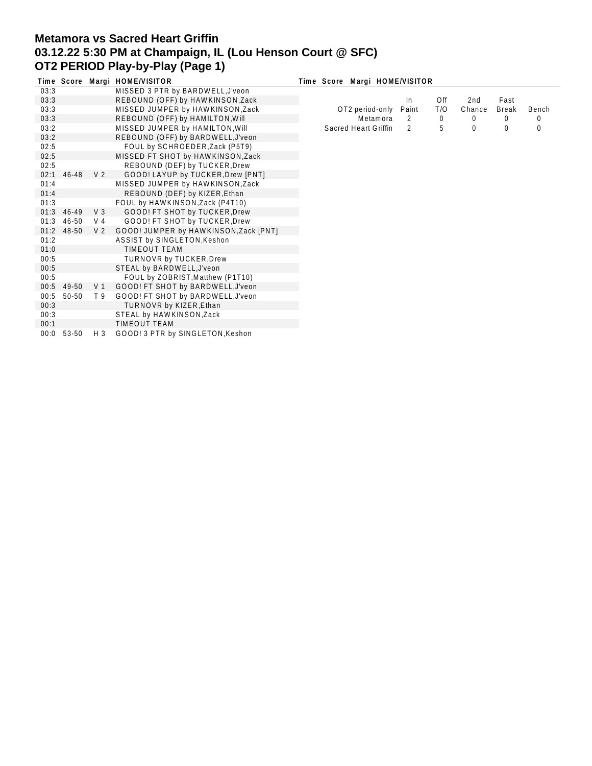# **Metamora vs Sacred Heart Griffin 03.12.22 5:30 PM at Champaign, IL (Lou Henson Court @ SFC) OT2 PERIOD Play-by-Play (Page 1)**

|      |            |                | Time Score Margi HOME/VISITOR         | Time Score Margi HOME/VISITOR |       |     |        |              |       |
|------|------------|----------------|---------------------------------------|-------------------------------|-------|-----|--------|--------------|-------|
| 03:3 |            |                | MISSED 3 PTR by BARDWELL, J'veon      |                               |       |     |        |              |       |
| 03:3 |            |                | REBOUND (OFF) by HAWKINSON, Zack      |                               | In.   | Off | 2nd    | Fast         |       |
| 03:3 |            |                | MISSED JUMPER by HAWKINSON, Zack      | OT2 period-only               | Paint | T/O | Chance | <b>Break</b> | Bench |
| 03:3 |            |                | REBOUND (OFF) by HAMILTON, Will       | Metamora                      | 2     | 0   | 0      | 0            | 0     |
| 03:2 |            |                | MISSED JUMPER by HAMILTON, Will       | Sacred Heart Griffin          | 2     | 5   | 0      | 0            | 0     |
| 03:2 |            |                | REBOUND (OFF) by BARDWELL, J'veon     |                               |       |     |        |              |       |
| 02:5 |            |                | FOUL by SCHROEDER, Zack (P5T9)        |                               |       |     |        |              |       |
| 02:5 |            |                | MISSED FT SHOT by HAWKINSON, Zack     |                               |       |     |        |              |       |
| 02:5 |            |                | REBOUND (DEF) by TUCKER, Drew         |                               |       |     |        |              |       |
| 02:1 | 46-48      | V <sub>2</sub> | GOOD! LAYUP by TUCKER, Drew [PNT]     |                               |       |     |        |              |       |
| 01:4 |            |                | MISSED JUMPER by HAWKINSON, Zack      |                               |       |     |        |              |       |
| 01:4 |            |                | REBOUND (DEF) by KIZER, Ethan         |                               |       |     |        |              |       |
| 01:3 |            |                | FOUL by HAWKINSON, Zack (P4T10)       |                               |       |     |        |              |       |
| 01:3 | 46-49      | $V_3$          | GOOD! FT SHOT by TUCKER, Drew         |                               |       |     |        |              |       |
| 01:3 | 46-50      | V 4            | GOOD! FT SHOT by TUCKER, Drew         |                               |       |     |        |              |       |
|      | 01:2 48-50 | V <sub>2</sub> | GOOD! JUMPER by HAWKINSON, Zack [PNT] |                               |       |     |        |              |       |
| 01:2 |            |                | ASSIST by SINGLETON, Keshon           |                               |       |     |        |              |       |
| 01:0 |            |                | <b>TIMEOUT TEAM</b>                   |                               |       |     |        |              |       |
| 00:5 |            |                | <b>TURNOVR by TUCKER, Drew</b>        |                               |       |     |        |              |       |
| 00:5 |            |                | STEAL by BARDWELL, J'veon             |                               |       |     |        |              |       |
| 00:5 |            |                | FOUL by ZOBRIST, Matthew (P1T10)      |                               |       |     |        |              |       |
|      | 00:5 49-50 | V 1            | GOOD! FT SHOT by BARDWELL, J'veon     |                               |       |     |        |              |       |
| 00:5 | 50-50      | T 9            | GOOD! FT SHOT by BARDWELL, J'veon     |                               |       |     |        |              |       |
| 00:3 |            |                | TURNOVR by KIZER, Ethan               |                               |       |     |        |              |       |
| 00:3 |            |                | STEAL by HAWKINSON, Zack              |                               |       |     |        |              |       |
| 00:1 |            |                | <b>TIMEOUT TEAM</b>                   |                               |       |     |        |              |       |
| 00:0 | 53-50      | H 3            | GOOD! 3 PTR by SINGLETON, Keshon      |                               |       |     |        |              |       |